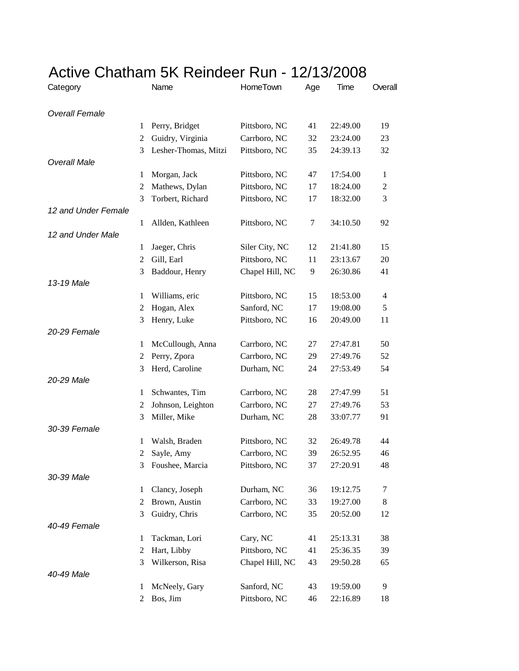| Category              |                | Name                 | <b>HomeTown</b> | Age | Time     | Overall        |
|-----------------------|----------------|----------------------|-----------------|-----|----------|----------------|
| <b>Overall Female</b> |                |                      |                 |     |          |                |
|                       | 1              | Perry, Bridget       | Pittsboro, NC   | 41  | 22:49.00 | 19             |
|                       | 2              | Guidry, Virginia     | Carrboro, NC    | 32  | 23:24.00 | 23             |
|                       | 3              | Lesher-Thomas, Mitzi | Pittsboro, NC   | 35  | 24:39.13 | 32             |
| <b>Overall Male</b>   |                |                      |                 |     |          |                |
|                       | 1              | Morgan, Jack         | Pittsboro, NC   | 47  | 17:54.00 | 1              |
|                       | 2              | Mathews, Dylan       | Pittsboro, NC   | 17  | 18:24.00 | $\overline{c}$ |
|                       | 3              | Torbert, Richard     | Pittsboro, NC   | 17  | 18:32.00 | 3              |
| 12 and Under Female   |                |                      |                 |     |          |                |
|                       | 1              | Allden, Kathleen     | Pittsboro, NC   | 7   | 34:10.50 | 92             |
| 12 and Under Male     |                |                      |                 |     |          |                |
|                       | 1              | Jaeger, Chris        | Siler City, NC  | 12  | 21:41.80 | 15             |
|                       | $\overline{c}$ | Gill, Earl           | Pittsboro, NC   | 11  | 23:13.67 | 20             |
|                       | 3              | Baddour, Henry       | Chapel Hill, NC | 9   | 26:30.86 | 41             |
| 13-19 Male            |                |                      |                 |     |          |                |
|                       | 1              | Williams, eric       | Pittsboro, NC   | 15  | 18:53.00 | 4              |
|                       | 2              | Hogan, Alex          | Sanford, NC     | 17  | 19:08.00 | 5              |
|                       | 3              | Henry, Luke          | Pittsboro, NC   | 16  | 20:49.00 | 11             |
| 20-29 Female          |                |                      |                 |     |          |                |
|                       | 1              | McCullough, Anna     | Carrboro, NC    | 27  | 27:47.81 | 50             |
|                       | 2              | Perry, Zpora         | Carrboro, NC    | 29  | 27:49.76 | 52             |
|                       | 3              | Herd, Caroline       | Durham, NC      | 24  | 27:53.49 | 54             |
| 20-29 Male            |                |                      |                 |     |          |                |
|                       | 1              | Schwantes, Tim       | Carrboro, NC    | 28  | 27:47.99 | 51             |
|                       | 2              | Johnson, Leighton    | Carrboro, NC    | 27  | 27:49.76 | 53             |
|                       | 3              | Miller, Mike         | Durham, NC      | 28  | 33:07.77 | 91             |
| 30-39 Female          |                |                      |                 |     |          |                |
|                       | 1              | Walsh, Braden        | Pittsboro, NC   | 32  | 26:49.78 | 44             |
|                       | 2              | Sayle, Amy           | Carrboro, NC    | 39  | 26:52.95 | 46             |
|                       | 3              | Foushee, Marcia      | Pittsboro, NC   | 37  | 27:20.91 | 48             |
| 30-39 Male            |                |                      |                 |     |          |                |
|                       | 1              | Clancy, Joseph       | Durham, NC      | 36  | 19:12.75 | 7              |
|                       | 2              | Brown, Austin        | Carrboro, NC    | 33  | 19:27.00 | 8              |
|                       | 3              | Guidry, Chris        | Carrboro, NC    | 35  | 20:52.00 | 12             |
| 40-49 Female          |                |                      |                 |     |          |                |
|                       | $\mathbf{1}$   | Tackman, Lori        | Cary, NC        | 41  | 25:13.31 | 38             |
|                       | $\overline{c}$ | Hart, Libby          | Pittsboro, NC   | 41  | 25:36.35 | 39             |
|                       | 3              | Wilkerson, Risa      | Chapel Hill, NC | 43  | 29:50.28 | 65             |
| 40-49 Male            |                |                      |                 |     |          |                |
|                       | 1              | McNeely, Gary        | Sanford, NC     | 43  | 19:59.00 | 9              |
|                       | 2              | Bos, Jim             | Pittsboro, NC   | 46  | 22:16.89 | 18             |

## Active Chatham 5K Reindeer Run - 12/13/2008